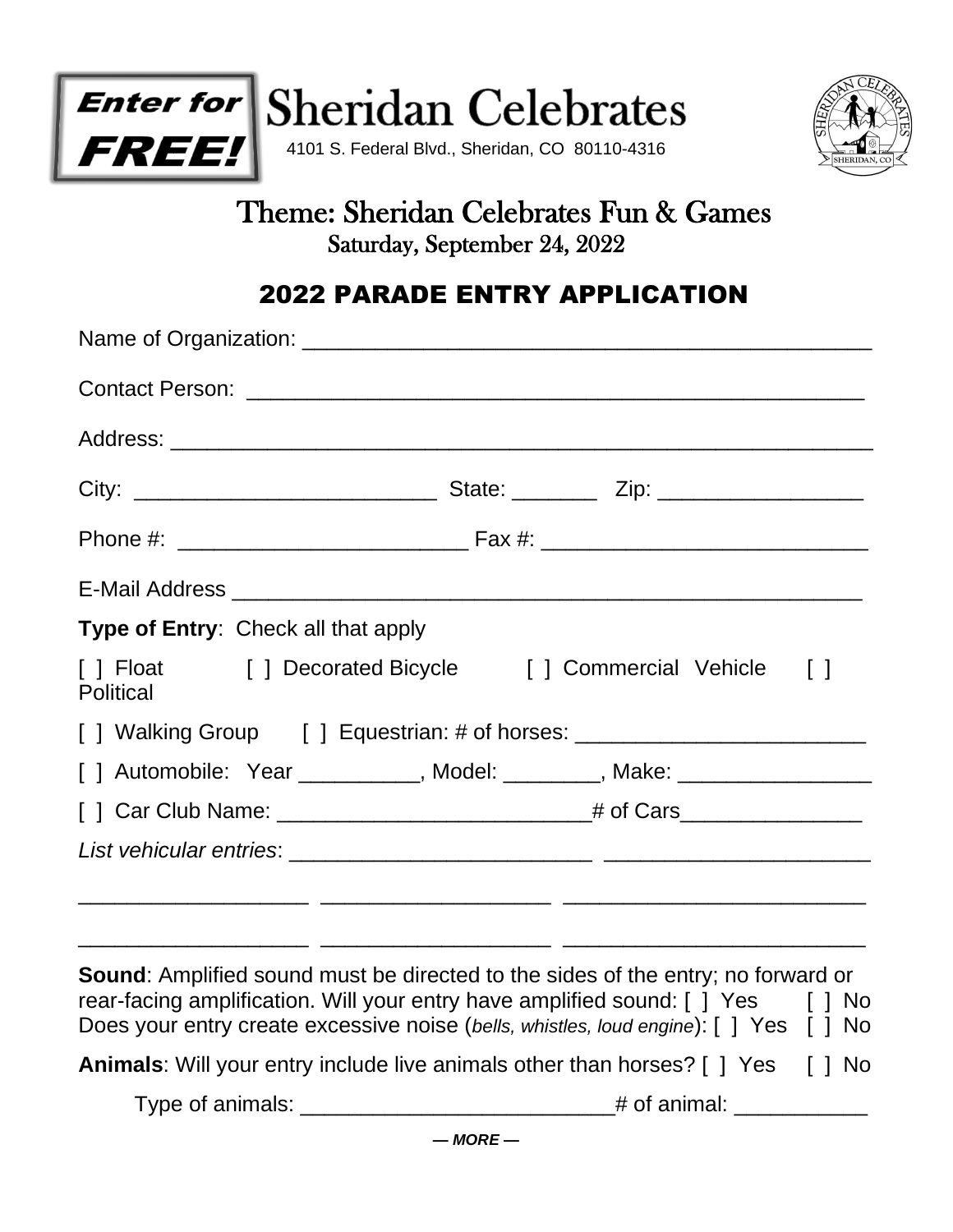



# Theme: Sheridan Celebrates Fun & Games Saturday, September 24, 2022

# 2022 PARADE ENTRY APPLICATION

| Type of Entry: Check all that apply |                                                                                                                       |
|-------------------------------------|-----------------------------------------------------------------------------------------------------------------------|
| <b>Political</b>                    | [] Float [] Decorated Bicycle [] Commercial Vehicle []                                                                |
|                                     |                                                                                                                       |
|                                     | [] Automobile: Year __________, Model: ________, Make: _________________________                                      |
|                                     |                                                                                                                       |
|                                     |                                                                                                                       |
|                                     | <u> 1999 - Johann John Harry, francuski filozof, francuski filozof, francuski filozof, francuski filozof, francus</u> |
|                                     |                                                                                                                       |

**Sound**: Amplified sound must be directed to the sides of the entry; no forward or rear-facing amplification. Will your entry have amplified sound:  $\lceil \cdot \rceil$  Yes  $\lceil \cdot \rceil$  No Does your entry create excessive noise (*bells, whistles, loud engine*): [ ] Yes [ ] No **Animals**: Will your entry include live animals other than horses? [ ] Yes [ ] No Type of animals: \_\_\_\_\_\_\_\_\_\_\_\_\_\_\_\_\_\_\_\_\_\_\_\_\_\_# of animal: \_\_\_\_\_\_\_\_\_\_\_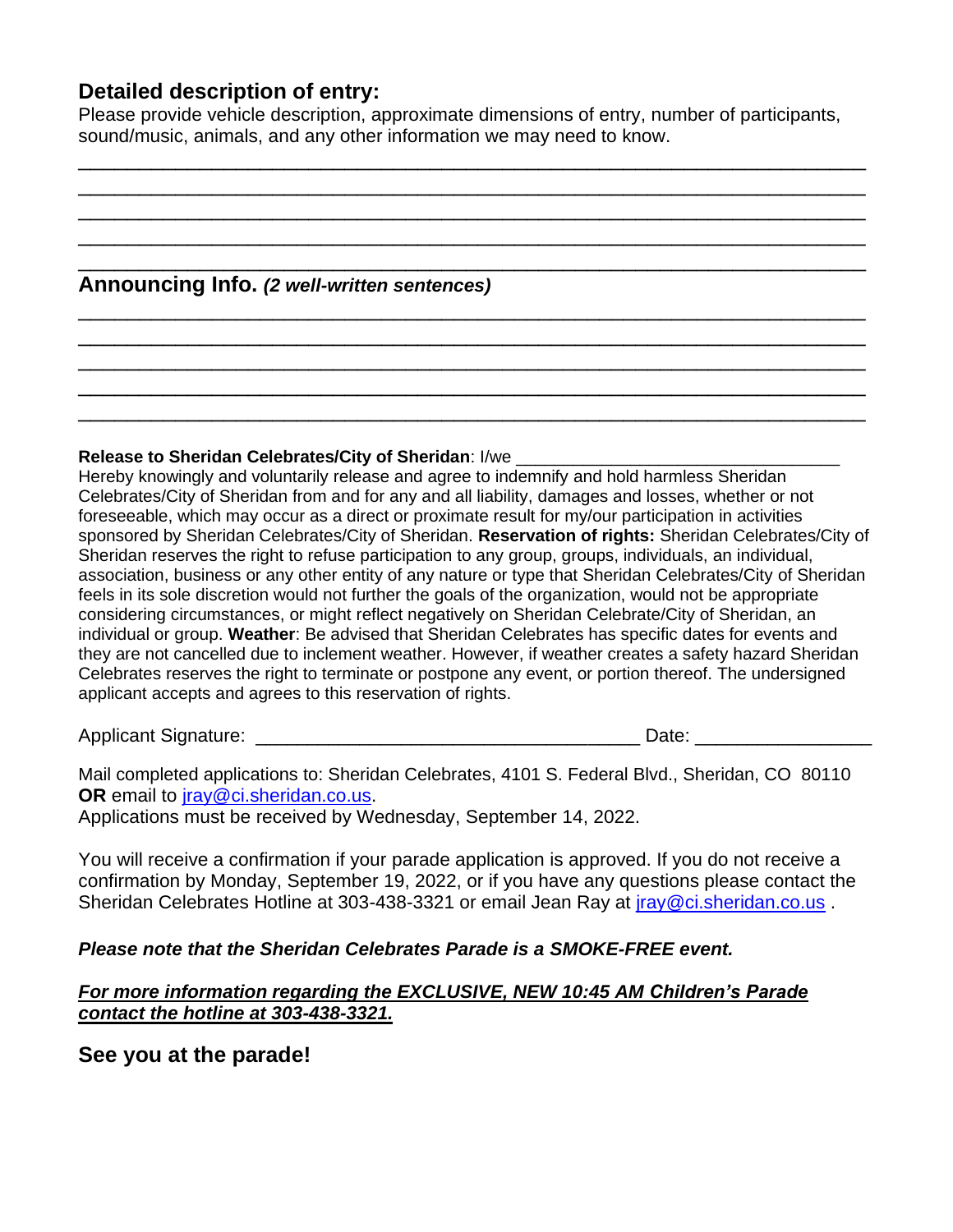### **Detailed description of entry:**

Please provide vehicle description, approximate dimensions of entry, number of participants, sound/music, animals, and any other information we may need to know.

\_\_\_\_\_\_\_\_\_\_\_\_\_\_\_\_\_\_\_\_\_\_\_\_\_\_\_\_\_\_\_\_\_\_\_\_\_\_\_\_\_\_\_\_\_\_\_\_\_\_\_\_\_\_\_\_\_\_\_\_\_\_\_\_\_ \_\_\_\_\_\_\_\_\_\_\_\_\_\_\_\_\_\_\_\_\_\_\_\_\_\_\_\_\_\_\_\_\_\_\_\_\_\_\_\_\_\_\_\_\_\_\_\_\_\_\_\_\_\_\_\_\_\_\_\_\_\_\_\_\_ \_\_\_\_\_\_\_\_\_\_\_\_\_\_\_\_\_\_\_\_\_\_\_\_\_\_\_\_\_\_\_\_\_\_\_\_\_\_\_\_\_\_\_\_\_\_\_\_\_\_\_\_\_\_\_\_\_\_\_\_\_\_\_\_\_ \_\_\_\_\_\_\_\_\_\_\_\_\_\_\_\_\_\_\_\_\_\_\_\_\_\_\_\_\_\_\_\_\_\_\_\_\_\_\_\_\_\_\_\_\_\_\_\_\_\_\_\_\_\_\_\_\_\_\_\_\_\_\_\_\_ \_\_\_\_\_\_\_\_\_\_\_\_\_\_\_\_\_\_\_\_\_\_\_\_\_\_\_\_\_\_\_\_\_\_\_\_\_\_\_\_\_\_\_\_\_\_\_\_\_\_\_\_\_\_\_\_\_\_\_\_\_\_\_\_\_

\_\_\_\_\_\_\_\_\_\_\_\_\_\_\_\_\_\_\_\_\_\_\_\_\_\_\_\_\_\_\_\_\_\_\_\_\_\_\_\_\_\_\_\_\_\_\_\_\_\_\_\_\_\_\_\_\_\_\_\_\_\_\_\_\_ \_\_\_\_\_\_\_\_\_\_\_\_\_\_\_\_\_\_\_\_\_\_\_\_\_\_\_\_\_\_\_\_\_\_\_\_\_\_\_\_\_\_\_\_\_\_\_\_\_\_\_\_\_\_\_\_\_\_\_\_\_\_\_\_\_ \_\_\_\_\_\_\_\_\_\_\_\_\_\_\_\_\_\_\_\_\_\_\_\_\_\_\_\_\_\_\_\_\_\_\_\_\_\_\_\_\_\_\_\_\_\_\_\_\_\_\_\_\_\_\_\_\_\_\_\_\_\_\_\_\_ \_\_\_\_\_\_\_\_\_\_\_\_\_\_\_\_\_\_\_\_\_\_\_\_\_\_\_\_\_\_\_\_\_\_\_\_\_\_\_\_\_\_\_\_\_\_\_\_\_\_\_\_\_\_\_\_\_\_\_\_\_\_\_\_\_ \_\_\_\_\_\_\_\_\_\_\_\_\_\_\_\_\_\_\_\_\_\_\_\_\_\_\_\_\_\_\_\_\_\_\_\_\_\_\_\_\_\_\_\_\_\_\_\_\_\_\_\_\_\_\_\_\_\_\_\_\_\_\_\_\_

## **Announcing Info.** *(2 well-written sentences)*

#### Release to Sheridan Celebrates/City of Sheridan: I/we

Hereby knowingly and voluntarily release and agree to indemnify and hold harmless Sheridan Celebrates/City of Sheridan from and for any and all liability, damages and losses, whether or not foreseeable, which may occur as a direct or proximate result for my/our participation in activities sponsored by Sheridan Celebrates/City of Sheridan. **Reservation of rights:** Sheridan Celebrates/City of Sheridan reserves the right to refuse participation to any group, groups, individuals, an individual, association, business or any other entity of any nature or type that Sheridan Celebrates/City of Sheridan feels in its sole discretion would not further the goals of the organization, would not be appropriate considering circumstances, or might reflect negatively on Sheridan Celebrate/City of Sheridan, an individual or group. **Weather**: Be advised that Sheridan Celebrates has specific dates for events and they are not cancelled due to inclement weather. However, if weather creates a safety hazard Sheridan Celebrates reserves the right to terminate or postpone any event, or portion thereof. The undersigned applicant accepts and agrees to this reservation of rights.

Applicant Signature: \_\_\_\_\_\_\_\_\_\_\_\_\_\_\_\_\_\_\_\_\_\_\_\_\_\_\_\_\_\_\_\_\_\_\_\_\_ Date: \_\_\_\_\_\_\_\_\_\_\_\_\_\_\_\_\_

Mail completed applications to: Sheridan Celebrates, 4101 S. Federal Blvd., Sheridan, CO 80110 **OR** email to [jray@ci.sheridan.co.us.](mailto:jray@ci.sheridan.co.us)

Applications must be received by Wednesday, September 14, 2022.

You will receive a confirmation if your parade application is approved. If you do not receive a confirmation by Monday, September 19, 2022, or if you have any questions please contact the Sheridan Celebrates Hotline at 303-438-3321 or email Jean Ray at *iray@ci.sheridan.co.us* .

#### *Please note that the Sheridan Celebrates Parade is a SMOKE-FREE event.*

#### *For more information regarding the EXCLUSIVE, NEW 10:45 AM Children's Parade contact the hotline at 303-438-3321.*

**See you at the parade!**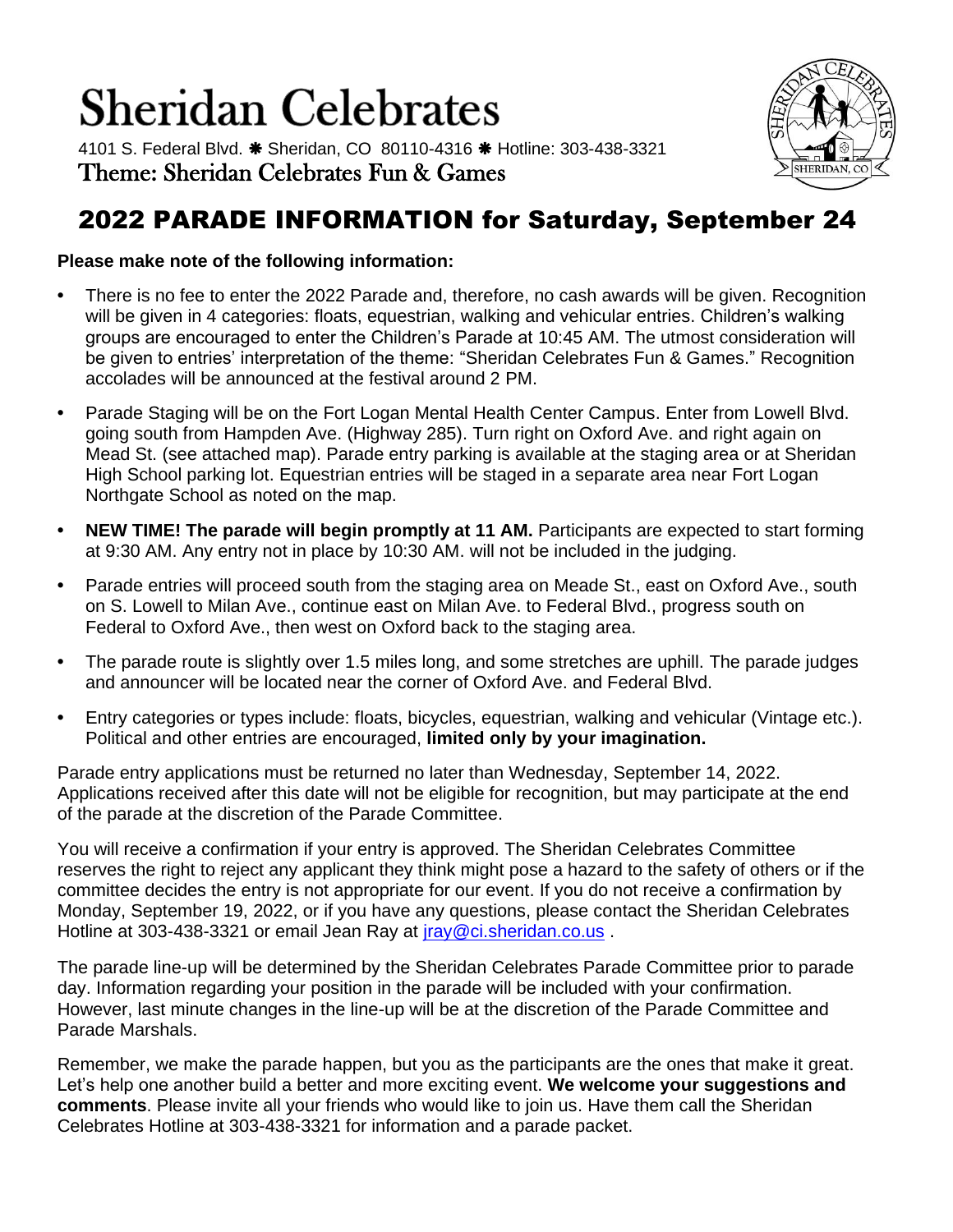# **Sheridan Celebrates**

4101 S. Federal Blvd. \* Sheridan, CO 80110-4316 \* Hotline: 303-438-3321 Theme: Sheridan Celebrates Fun & Games



## 2022 PARADE INFORMATION for Saturday, September 24

### **Please make note of the following information:**

- **•** There is no fee to enter the 2022 Parade and, therefore, no cash awards will be given. Recognition will be given in 4 categories: floats, equestrian, walking and vehicular entries. Children's walking groups are encouraged to enter the Children's Parade at 10:45 AM. The utmost consideration will be given to entries' interpretation of the theme: "Sheridan Celebrates Fun & Games." Recognition accolades will be announced at the festival around 2 PM.
- **•** Parade Staging will be on the Fort Logan Mental Health Center Campus. Enter from Lowell Blvd. going south from Hampden Ave. (Highway 285). Turn right on Oxford Ave. and right again on Mead St. (see attached map). Parade entry parking is available at the staging area or at Sheridan High School parking lot. Equestrian entries will be staged in a separate area near Fort Logan Northgate School as noted on the map.
- **NEW TIME! The parade will begin promptly at 11 AM. Participants are expected to start forming** at 9:30 AM. Any entry not in place by 10:30 AM. will not be included in the judging.
- **•** Parade entries will proceed south from the staging area on Meade St., east on Oxford Ave., south on S. Lowell to Milan Ave., continue east on Milan Ave. to Federal Blvd., progress south on Federal to Oxford Ave., then west on Oxford back to the staging area.
- **•** The parade route is slightly over 1.5 miles long, and some stretches are uphill. The parade judges and announcer will be located near the corner of Oxford Ave. and Federal Blvd.
- **•** Entry categories or types include: floats, bicycles, equestrian, walking and vehicular (Vintage etc.). Political and other entries are encouraged, **limited only by your imagination.**

Parade entry applications must be returned no later than Wednesday, September 14, 2022. Applications received after this date will not be eligible for recognition, but may participate at the end of the parade at the discretion of the Parade Committee.

You will receive a confirmation if your entry is approved. The Sheridan Celebrates Committee reserves the right to reject any applicant they think might pose a hazard to the safety of others or if the committee decides the entry is not appropriate for our event. If you do not receive a confirmation by Monday, September 19, 2022, or if you have any questions, please contact the Sheridan Celebrates Hotline at 303-438-3321 or email Jean Ray at *iray@ci.sheridan.co.us.* 

The parade line-up will be determined by the Sheridan Celebrates Parade Committee prior to parade day. Information regarding your position in the parade will be included with your confirmation. However, last minute changes in the line-up will be at the discretion of the Parade Committee and Parade Marshals.

Remember, we make the parade happen, but you as the participants are the ones that make it great. Let's help one another build a better and more exciting event. **We welcome your suggestions and comments**. Please invite all your friends who would like to join us. Have them call the Sheridan Celebrates Hotline at 303-438-3321 for information and a parade packet.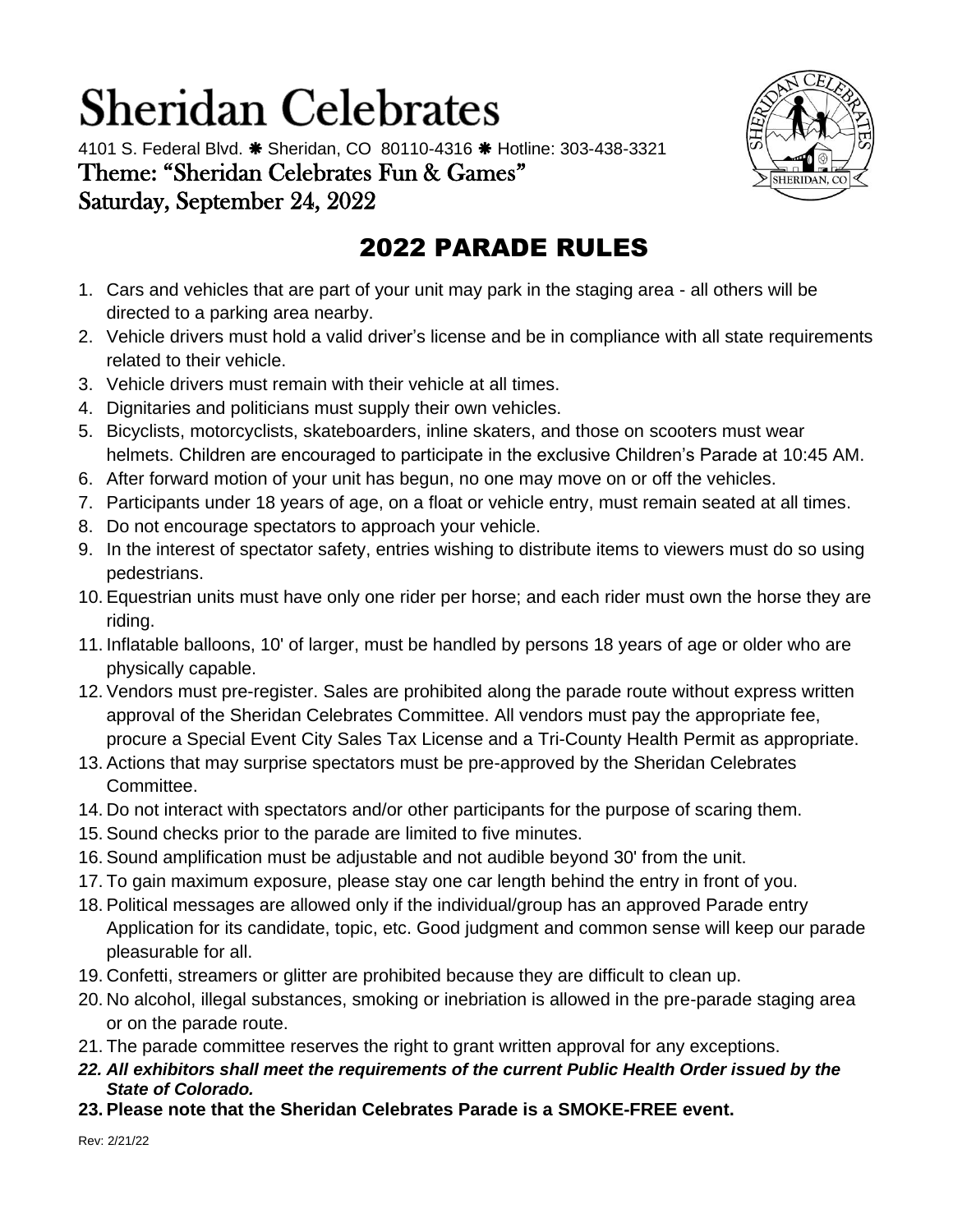# **Sheridan Celebrates**

4101 S. Federal Blvd. \* Sheridan, CO 80110-4316 \* Hotline: 303-438-3321 Theme: "Sheridan Celebrates Fun & Games" Saturday, September 24, 2022



# 2022 PARADE RULES

- 1. Cars and vehicles that are part of your unit may park in the staging area all others will be directed to a parking area nearby.
- 2. Vehicle drivers must hold a valid driver's license and be in compliance with all state requirements related to their vehicle.
- 3. Vehicle drivers must remain with their vehicle at all times.
- 4. Dignitaries and politicians must supply their own vehicles.
- 5. Bicyclists, motorcyclists, skateboarders, inline skaters, and those on scooters must wear helmets. Children are encouraged to participate in the exclusive Children's Parade at 10:45 AM.
- 6. After forward motion of your unit has begun, no one may move on or off the vehicles.
- 7. Participants under 18 years of age, on a float or vehicle entry, must remain seated at all times.
- 8. Do not encourage spectators to approach your vehicle.
- 9. In the interest of spectator safety, entries wishing to distribute items to viewers must do so using pedestrians.
- 10. Equestrian units must have only one rider per horse; and each rider must own the horse they are riding.
- 11. Inflatable balloons, 10' of larger, must be handled by persons 18 years of age or older who are physically capable.
- 12. Vendors must pre-register. Sales are prohibited along the parade route without express written approval of the Sheridan Celebrates Committee. All vendors must pay the appropriate fee, procure a Special Event City Sales Tax License and a Tri-County Health Permit as appropriate.
- 13. Actions that may surprise spectators must be pre-approved by the Sheridan Celebrates Committee.
- 14. Do not interact with spectators and/or other participants for the purpose of scaring them.
- 15. Sound checks prior to the parade are limited to five minutes.
- 16. Sound amplification must be adjustable and not audible beyond 30' from the unit.
- 17. To gain maximum exposure, please stay one car length behind the entry in front of you.
- 18. Political messages are allowed only if the individual/group has an approved Parade entry Application for its candidate, topic, etc. Good judgment and common sense will keep our parade pleasurable for all.
- 19. Confetti, streamers or glitter are prohibited because they are difficult to clean up.
- 20. No alcohol, illegal substances, smoking or inebriation is allowed in the pre-parade staging area or on the parade route.
- 21. The parade committee reserves the right to grant written approval for any exceptions.
- *22. All exhibitors shall meet the requirements of the current Public Health Order issued by the State of Colorado.*
- **23. Please note that the Sheridan Celebrates Parade is a SMOKE-FREE event.**